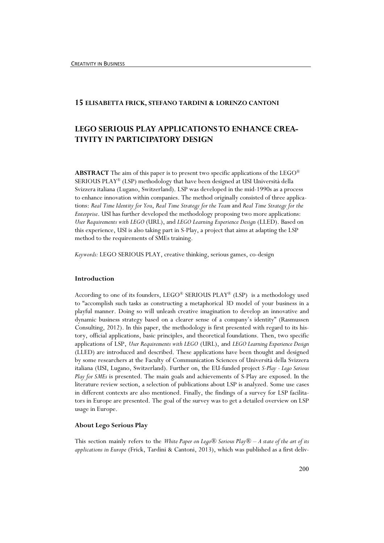# 15 ELISABETTA FRICK, STEFANO TARDINI & LORENZO CANTONI

# LEGO SERIOUS PLAY APPLICATIONS TO ENHANCE CREA-TIVITY IN PARTICIPATORY DESIGN

**ABSTRACT** The aim of this paper is to present two specific applications of the LEGO<sup>®</sup> SERIOUS PLAY® (LSP) methodology that have been designed at USI Università della Svizzera italiana (Lugano, Switzerland). LSP was developed in the mid-1990s as a process to enhance innovation within companies. The method originally consisted of three applications: Real Time Identity for You, Real Time Strategy for the Team and Real Time Strategy for the Enterprise. USI has further developed the methodology proposing two more applications: User Requirements with LEGO (URL), and LEGO Learning Experience Design (LLED). Based on this experience, USI is also taking part in S-Play, a project that aims at adapting the LSP method to the requirements of SMEs training.

Keywords: LEGO SERIOUS PLAY, creative thinking, serious games, co-design

# Introduction

According to one of its founders, LEGO® SERIOUS PLAY® (LSP) is a methodology used to "accomplish such tasks as constructing a metaphorical 3D model of your business in a playful manner. Doing so will unleash creative imagination to develop an innovative and dynamic business strategy based on a clearer sense of a company's identity" (Rasmussen Consulting, 2012). In this paper, the methodology is first presented with regard to its history, official applications, basic principles, and theoretical foundations. Then, two specific applications of LSP, User Requirements with LEGO (URL), and LEGO Learning Experience Design (LLED) are introduced and described. These applications have been thought and designed by some researchers at the Faculty of Communication Sciences of Università della Svizzera italiana (USI, Lugano, Switzerland). Further on, the EU-funded project S-Play - Lego Serious Play for SMEs is presented. The main goals and achievements of S-Play are exposed. In the literature review section, a selection of publications about LSP is analyzed. Some use cases in different contexts are also mentioned. Finally, the findings of a survey for LSP facilitators in Europe are presented. The goal of the survey was to get a detailed overview on LSP usage in Europe.

### About Lego Serious Play

This section mainly refers to the White Paper on Lego® Serious Play® – A state of the art of its applications in Europe (Frick, Tardini & Cantoni, 2013), which was published as a first deliv-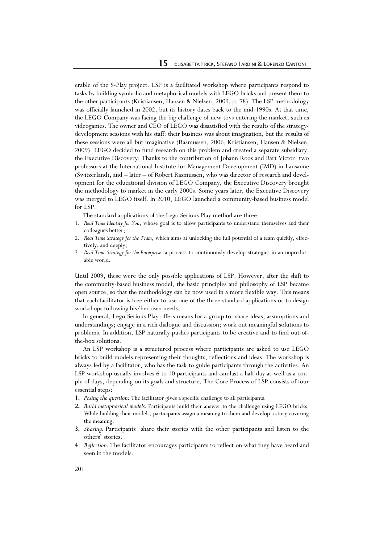erable of the S-Play project. LSP is a facilitated workshop where participants respond to tasks by building symbolic and metaphorical models with LEGO bricks and present them to the other participants (Kristiansen, Hansen & Nielsen, 2009, p. 78). The LSP methodology was officially launched in 2002, but its history dates back to the mid-1990s. At that time, the LEGO Company was facing the big challenge of new toys entering the market, such as videogames. The owner and CEO of LEGO was dissatisfied with the results of the strategydevelopment sessions with his staff: their business was about imagination, but the results of these sessions were all but imaginative (Rasmussen, 2006; Kristiansen, Hansen & Nielsen, 2009). LEGO decided to fund research on this problem and created a separate subsidiary, the Executive Discovery. Thanks to the contribution of Johann Roos and Bart Victor, two professors at the International Institute for Management Development (IMD) in Lausanne (Switzerland), and – later – of Robert Rasmussen, who was director of research and development for the educational division of LEGO Company, the Executive Discovery brought the methodology to market in the early 2000s. Some years later, the Executive Discovery was merged to LEGO itself. In 2010, LEGO launched a community-based business model for LSP.

The standard applications of the Lego Serious Play method are three:

- 1. Real Time Identity for You, whose goal is to allow participants to understand themselves and their colleagues better;
- 2. Real Time Strategy for the Team, which aims at unlocking the full potential of a team quickly, effectively, and deeply;
- 3. Real Time Strategy for the Enterprise, a process to continuously develop strategies in an unpredictable world.

Until 2009, these were the only possible applications of LSP. However, after the shift to the community-based business model, the basic principles and philosophy of LSP became open source, so that the methodology can be now used in a more flexible way. This means that each facilitator is free either to use one of the three standard applications or to design workshops following his/her own needs.

 In general, Lego Serious Play offers means for a group to: share ideas, assumptions and understandings; engage in a rich dialogue and discussion; work out meaningful solutions to problems. In addition, LSP naturally pushes participants to be creative and to find out-ofthe-box solutions.

 An LSP workshop is a structured process where participants are asked to use LEGO bricks to build models representing their thoughts, reflections and ideas. The workshop is always led by a facilitator, who has the task to guide participants through the activities. An LSP workshop usually involves 6 to 10 participants and can last a half-day as well as a couple of days, depending on its goals and structure. The Core Process of LSP consists of four essential steps:

- 1. Posing the question: The facilitator gives a specific challenge to all participants.
- 2. Build metaphorical models: Participants build their answer to the challenge using LEGO bricks. While building their models, participants assign a meaning to them and develop a story covering the meaning.
- 3. Sharing: Participants share their stories with the other participants and listen to the others' stories.
- 4. Reflection: The facilitator encourages participants to reflect on what they have heard and seen in the models.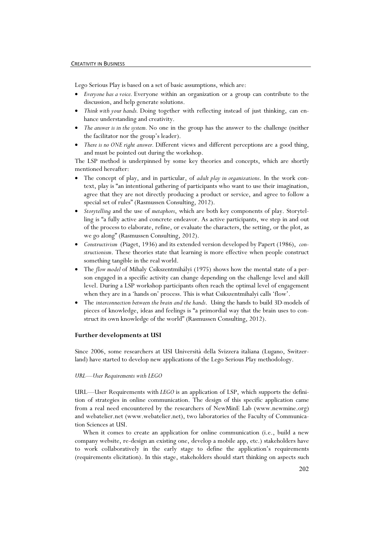### CREATIVITY IN BUSINESS

Lego Serious Play is based on a set of basic assumptions, which are:

- Everyone has a voice. Everyone within an organization or a group can contribute to the discussion, and help generate solutions.
- Think with your hands. Doing together with reflecting instead of just thinking, can enhance understanding and creativity.
- The answer is in the system. No one in the group has the answer to the challenge (neither the facilitator nor the group's leader).
- There is no ONE right answer. Different views and different perceptions are a good thing, and must be pointed out during the workshop.

The LSP method is underpinned by some key theories and concepts, which are shortly mentioned hereafter:

- The concept of play, and in particular, of *adult play in organizations*. In the work context, play is "an intentional gathering of participants who want to use their imagination, agree that they are not directly producing a product or service, and agree to follow a special set of rules" (Rasmussen Consulting, 2012).
- Storytelling and the use of metaphors, which are both key components of play. Storytelling is "a fully active and concrete endeavor. As active participants, we step in and out of the process to elaborate, refine, or evaluate the characters, the setting, or the plot, as we go along" (Rasmussen Consulting, 2012).
- Constructivism (Piaget, 1936) and its extended version developed by Papert (1986), constructionism. These theories state that learning is more effective when people construct something tangible in the real world.
- The *flow model* of Mihaly Csíkszentmihályi (1975) shows how the mental state of a person engaged in a specific activity can change depending on the challenge level and skill level. During a LSP workshop participants often reach the optimal level of engagement when they are in a 'hands on' process. This is what Csikszentmihalyi calls 'flow'.
- The interconnection between the brain and the hands. Using the hands to build 3D-models of pieces of knowledge, ideas and feelings is "a primordial way that the brain uses to construct its own knowledge of the world" (Rasmussen Consulting, 2012).

# Further developments at USI

Since 2006, some researchers at USI Università della Svizzera italiana (Lugano, Switzerland) have started to develop new applications of the Lego Serious Play methodology.

#### URL—User Requirements with LEGO

URL—User Requirements with  $LEGO$  is an application of LSP, which supports the definition of strategies in online communication. The design of this specific application came from a real need encountered by the researchers of NewMinE Lab (www.newmine.org) and webatelier.net (www.webatelier.net), two laboratories of the Faculty of Communication Sciences at USI.

 When it comes to create an application for online communication (i.e., build a new company website, re-design an existing one, develop a mobile app, etc.) stakeholders have to work collaboratively in the early stage to define the application's requirements (requirements elicitation). In this stage, stakeholders should start thinking on aspects such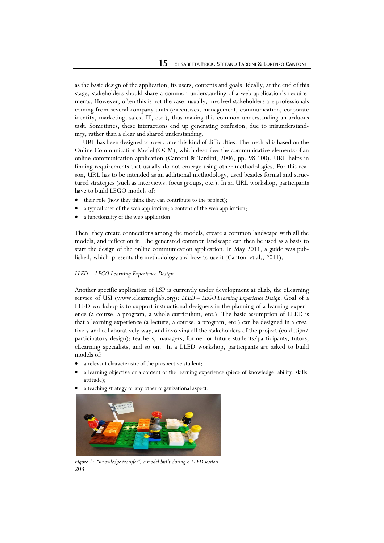as the basic design of the application, its users, contents and goals. Ideally, at the end of this stage, stakeholders should share a common understanding of a web application's requirements. However, often this is not the case: usually, involved stakeholders are professionals coming from several company units (executives, management, communication, corporate identity, marketing, sales, IT, etc.), thus making this common understanding an arduous task. Sometimes, these interactions end up generating confusion, due to misunderstandings, rather than a clear and shared understanding.

 URL has been designed to overcome this kind of difficulties. The method is based on the Online Communication Model (OCM), which describes the communicative elements of an online communication application (Cantoni & Tardini, 2006, pp. 98-100). URL helps in finding requirements that usually do not emerge using other methodologies. For this reason, URL has to be intended as an additional methodology, used besides formal and structured strategies (such as interviews, focus groups, etc.). In an URL workshop, participants have to build LEGO models of:

- their role (how they think they can contribute to the project);
- a typical user of the web application; a content of the web application;
- a functionality of the web application.

Then, they create connections among the models, create a common landscape with all the models, and reflect on it. The generated common landscape can then be used as a basis to start the design of the online communication application. In May 2011, a guide was published, which presents the methodology and how to use it (Cantoni et al., 2011).

### LLED—LEGO Learning Experience Design

Another specific application of LSP is currently under development at eLab, the eLearning service of USI (www.elearninglab.org):  $LED - EGO$  Learning Experience Design. Goal of a LLED workshop is to support instructional designers in the planning of a learning experience (a course, a program, a whole curriculum, etc.). The basic assumption of LLED is that a learning experience (a lecture, a course, a program, etc.) can be designed in a creatively and collaboratively way, and involving all the stakeholders of the project (co-design/ participatory design): teachers, managers, former or future students/participants, tutors, eLearning specialists, and so on. In a LLED workshop, participants are asked to build models of:

- a relevant characteristic of the prospective student;
- a learning objective or a content of the learning experience (piece of knowledge, ability, skills, attitude);
- a teaching strategy or any other organizational aspect.



203 Figure 1: "Knowledge transfer", a model built during a LLED session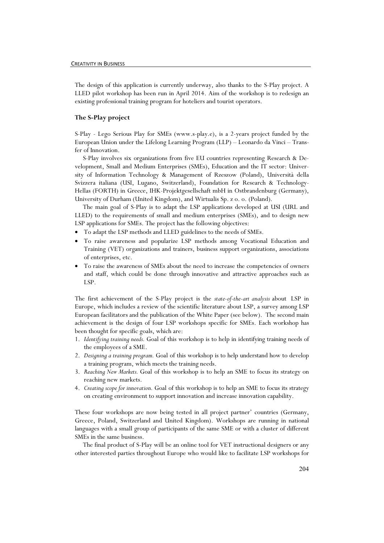The design of this application is currently underway, also thanks to the S-Play project. A LLED pilot workshop has been run in April 2014. Aim of the workshop is to redesign an existing professional training program for hoteliers and tourist operators.

# The S-Play project

S-Play - Lego Serious Play for SMEs (www.s-play.e), is a 2-years project funded by the European Union under the Lifelong Learning Program (LLP) – Leonardo da Vinci – Transfer of Innovation.

 S-Play involves six organizations from five EU countries representing Research & Development, Small and Medium Enterprises (SMEs), Education and the IT sector: University of Information Technology & Management of Rzeszow (Poland), Università della Svizzera italiana (USI, Lugano, Switzerland), Foundation for Research & Technology-Hellas (FORTH) in Greece, IHK-Projektgesellschaft mbH in Ostbrandenburg (Germany), University of Durham (United Kingdom), and Wirtualis Sp. z o. o. (Poland).

 The main goal of S-Play is to adapt the LSP applications developed at USI (URL and LLED) to the requirements of small and medium enterprises (SMEs), and to design new LSP applications for SMEs. The project has the following objectives:

- To adapt the LSP methods and LLED guidelines to the needs of SMEs.
- To raise awareness and popularize LSP methods among Vocational Education and Training (VET) organizations and trainers, business support organizations, associations of enterprises, etc.
- To raise the awareness of SMEs about the need to increase the competencies of owners and staff, which could be done through innovative and attractive approaches such as LSP.

The first achievement of the S-Play project is the state-of-the-art analysis about LSP in Europe, which includes a review of the scientific literature about LSP, a survey among LSP European facilitators and the publication of the White Paper (see below). The second main achievement is the design of four LSP workshops specific for SMEs. Each workshop has been thought for specific goals, which are:

- 1. Identifying training needs. Goal of this workshop is to help in identifying training needs of the employees of a SME.
- 2. Designing a training program. Goal of this workshop is to help understand how to develop a training program, which meets the training needs.
- 3. Reaching New Markets. Goal of this workshop is to help an SME to focus its strategy on reaching new markets.
- 4. Creating scope for innovation. Goal of this workshop is to help an SME to focus its strategy on creating environment to support innovation and increase innovation capability.

These four workshops are now being tested in all project partner' countries (Germany, Greece, Poland, Switzerland and United Kingdom). Workshops are running in national languages with a small group of participants of the same SME or with a cluster of different SMEs in the same business.

 The final product of S-Play will be an online tool for VET instructional designers or any other interested parties throughout Europe who would like to facilitate LSP workshops for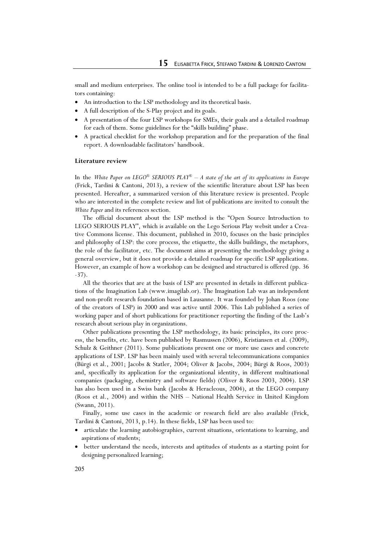small and medium enterprises. The online tool is intended to be a full package for facilitators containing:

- An introduction to the LSP methodology and its theoretical basis.
- A full description of the S-Play project and its goals.
- A presentation of the four LSP workshops for SMEs, their goals and a detailed roadmap for each of them. Some guidelines for the "skills building" phase.
- A practical checklist for the workshop preparation and for the preparation of the final report. A downloadable facilitators' handbook.

# Literature review

In the White Paper on LEGO<sup>®</sup> SERIOUS PLAY<sup>®</sup> – A state of the art of its applications in Europe (Frick, Tardini & Cantoni, 2013), a review of the scientific literature about LSP has been presented. Hereafter, a summarized version of this literature review is presented. People who are interested in the complete review and list of publications are invited to consult the White Paper and its references section.

 The official document about the LSP method is the "Open Source Introduction to LEGO SERIOUS PLAY", which is available on the Lego Serious Play websit under a Creative Commons license. This document, published in 2010, focuses on the basic principles and philosophy of LSP: the core process, the etiquette, the skills buildings, the metaphors, the role of the facilitator, etc. The document aims at presenting the methodology giving a general overview, but it does not provide a detailed roadmap for specific LSP applications. However, an example of how a workshop can be designed and structured is offered (pp. 36 -37).

 All the theories that are at the basis of LSP are presented in details in different publications of the Imagination Lab (www.imagilab.or). The Imagination Lab was an independent and non-profit research foundation based in Lausanne. It was founded by Johan Roos (one of the creators of LSP) in 2000 and was active until 2006. This Lab published a series of working paper and of short publications for practitioner reporting the finding of the Lasb's research about serious play in organizations.

 Other publications presenting the LSP methodology, its basic principles, its core process, the benefits, etc. have been published by Rasmussen (2006), Kristiansen et al. (2009), Schulz & Geithner (2011). Some publications present one or more use cases and concrete applications of LSP. LSP has been mainly used with several telecommunications companies (Bürgi et al., 2001; Jacobs & Statler, 2004; Oliver & Jacobs, 2004; Bürgi & Roos, 2003) and, specifically its application for the organizational identity, in different multinational companies (packaging, chemistry and software fields) (Oliver & Roos 2003, 2004). LSP has also been used in a Swiss bank (Jacobs & Heracleous, 2004), at the LEGO company (Roos et al., 2004) and within the NHS – National Health Service in United Kingdom (Swann, 2011).

 Finally, some use cases in the academic or research field are also available (Frick, Tardini & Cantoni, 2013, p.14). In these fields, LSP has been used to:

- articulate the learning autobiographies, current situations, orientations to learning, and aspirations of students;
- better understand the needs, interests and aptitudes of students as a starting point for designing personalized learning;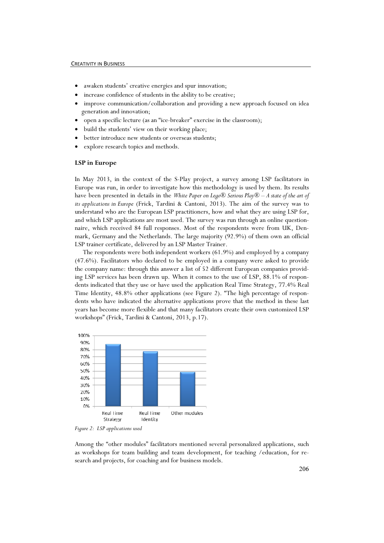#### CREATIVITY IN BUSINESS

- awaken students' creative energies and spur innovation;
- increase confidence of students in the ability to be creative;
- improve communication/collaboration and providing a new approach focused on idea generation and innovation;
- open a specific lecture (as an "ice-breaker" exercise in the classroom);
- build the students' view on their working place;
- better introduce new students or overseas students;
- explore research topics and methods.

# LSP in Europe

In May 2013, in the context of the S-Play project, a survey among LSP facilitators in Europe was run, in order to investigate how this methodology is used by them. Its results have been presented in details in the White Paper on Lego® Serious Play® – A state of the art of its applications in Europe (Frick, Tardini & Cantoni, 2013). The aim of the survey was to understand who are the European LSP practitioners, how and what they are using LSP for, and which LSP applications are most used. The survey was run through an online questionnaire, which received 84 full responses. Most of the respondents were from UK, Denmark, Germany and the Netherlands. The large majority (92.9%) of them own an official LSP trainer certificate, delivered by an LSP Master Trainer.

 The respondents were both independent workers (61.9%) and employed by a company (47.6%). Facilitators who declared to be employed in a company were asked to provide the company name: through this answer a list of 52 different European companies providing LSP services has been drawn up. When it comes to the use of LSP, 88.1% of respondents indicated that they use or have used the application Real Time Strategy, 77.4% Real Time Identity, 48.8% other applications (see Figure 2). "The high percentage of respondents who have indicated the alternative applications prove that the method in these last years has become more flexible and that many facilitators create their own customized LSP workshops" (Frick, Tardini & Cantoni, 2013, p.17).



Figure 2: LSP applications used

Among the "other modules" facilitators mentioned several personalized applications, such as workshops for team building and team development, for teaching /education, for research and projects, for coaching and for business models.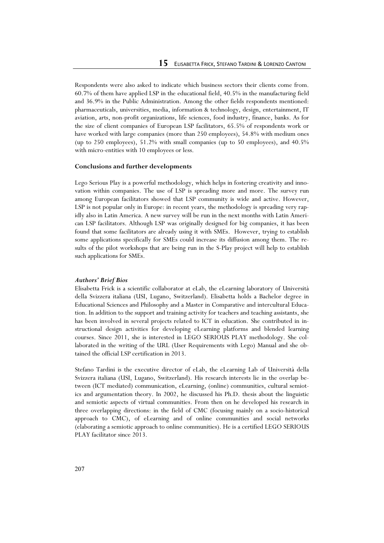Respondents were also asked to indicate which business sectors their clients come from. 60.7% of them have applied LSP in the educational field, 40.5% in the manufacturing field and 36.9% in the Public Administration. Among the other fields respondents mentioned: pharmaceuticals, universities, media, information & technology, design, entertainment, IT aviation, arts, non-profit organizations, life sciences, food industry, finance, banks. As for the size of client companies of European LSP facilitators, 65.5% of respondents work or have worked with large companies (more than 250 employees), 54.8% with medium ones (up to 250 employees), 51.2% with small companies (up to 50 employees), and 40.5% with micro-entities with 10 employees or less.

## Conclusions and further developments

Lego Serious Play is a powerful methodology, which helps in fostering creativity and innovation within companies. The use of LSP is spreading more and more. The survey run among European facilitators showed that LSP community is wide and active. However, LSP is not popular only in Europe: in recent years, the methodology is spreading very rapidly also in Latin America. A new survey will be run in the next months with Latin American LSP facilitators. Although LSP was originally designed for big companies, it has been found that some facilitators are already using it with SMEs. However, trying to establish some applications specifically for SMEs could increase its diffusion among them. The results of the pilot workshops that are being run in the S-Play project will help to establish such applications for SMEs.

# Authors' Brief Bios

Elisabetta Frick is a scientific collaborator at eLab, the eLearning laboratory of Università della Svizzera italiana (USI, Lugano, Switzerland). Elisabetta holds a Bachelor degree in Educational Sciences and Philosophy and a Master in Comparative and intercultural Education. In addition to the support and training activity for teachers and teaching assistants, she has been involved in several projects related to ICT in education. She contributed in instructional design activities for developing eLearning platforms and blended learning courses. Since 2011, she is interested in LEGO SERIOUS PLAY methodology. She collaborated in the writing of the URL (User Requirements with Lego) Manual and she obtained the official LSP certification in 2013.

Stefano Tardini is the executive director of eLab, the eLearning Lab of Università della Svizzera italiana (USI, Lugano, Switzerland). His research interests lie in the overlap between (ICT mediated) communication, eLearning, (online) communities, cultural semiotics and argumentation theory. In 2002, he discussed his Ph.D. thesis about the linguistic and semiotic aspects of virtual communities. From then on he developed his research in three overlapping directions: in the field of CMC (focusing mainly on a socio-historical approach to CMC), of eLearning and of online communities and social networks (elaborating a semiotic approach to online communities). He is a certified LEGO SERIOUS PLAY facilitator since 2013.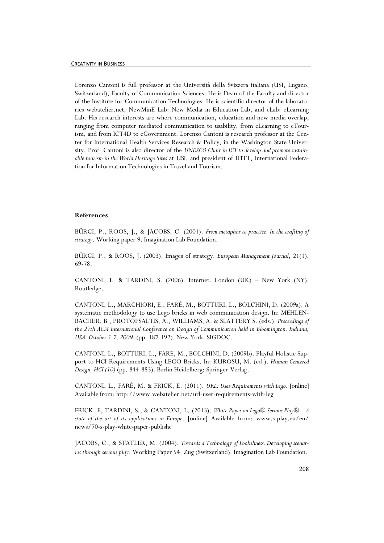Lorenzo Cantoni is full professor at the Università della Svizzera italiana (USI, Lugano, Switzerland), Faculty of Communication Sciences. He is Dean of the Faculty and director of the Institute for Communication Technologies. He is scientific director of the laboratories webatelier.net, NewMinE Lab: New Media in Education Lab, and eLab: eLearning Lab. His research interests are where communication, education and new media overlap, ranging from computer mediated communication to usability, from eLearning to eTourism, and from ICT4D to eGovernment. Lorenzo Cantoni is research professor at the Center for International Health Services Research & Policy, in the Washington State University. Prof. Cantoni is also director of the UNESCO Chair in ICT to develop and promote sustainable tourism in the World Heritage Sites at USI, and president of IFITT, International Federation for Information Technologies in Travel and Tourism.

# References

BÜRGI, P., ROOS, J., & JACOBS, C. (2001). From metaphor to practice. In the crafting of strategy. Working paper 9. Imagination Lab Foundation.

BÜRGI, P., & ROOS, J. (2003). Images of strategy. European Management Journal, 21(1), 69-78.

CANTONI, L. & TARDINI, S. (2006). Internet. London (UK) – New York (NY): Routledge.

CANTONI, L., MARCHIORI, E., FARÉ, M., BOTTURI, L., BOLCHINI, D. (2009a). A systematic methodology to use Lego bricks in web communication design. In: MEHLEN-BACHER, B., PROTOPSALTIS, A., WILLIAMS, A. & SLATTERY S. (eds.). Proceedings of the 27th ACM international Conference on Design of Communication held in Bloomington, Indiana, USA, October 5-7, 2009. (pp. 187-192). New York: SIGDOC.

CANTONI, L., BOTTURI, L., FARÉ, M., BOLCHINI, D. (2009b). Playful Holistic Support to HCI Requirements Using LEGO Bricks. In: KUROSU, M. (ed.). Human Centered Design, HCI (10) (pp. 844-853). Berlin Heidelberg: Springer-Verlag.

CANTONI, L., FARÉ, M. & FRICK, E. (2011). URL: User Requirements with Lego. [online] Available from: http://www.webatelier.net/url-user-requirements-with-leg

FRICK. E, TARDINI, S., & CANTONI, L. (2013). White Paper on Lego® Serious Play® – A state of the art of its applications in Europe. [online] Available from: www.s-play.eu/en/ news/70-s-play-white-paper-publishe

JACOBS, C., & STATLER, M. (2004). Towards a Technology of Foolishness. Developing scenarios through serious play. Working Paper 54. Zug (Switzerland): Imagination Lab Foundation.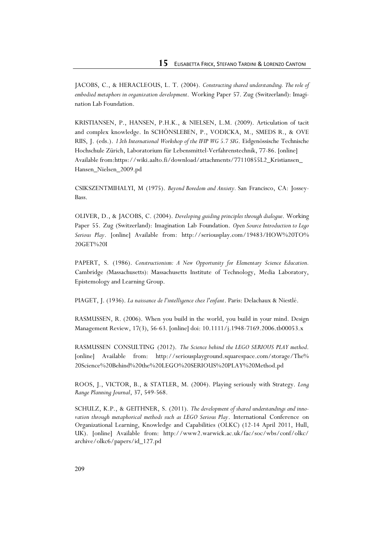JACOBS, C., & HERACLEOUS, L. T. (2004). Constructing shared understanding. The role of embodied metaphors in organization development. Working Paper 57. Zug (Switzerland): Imagination Lab Foundation.

KRISTIANSEN, P., HANSEN, P.H.K., & NIELSEN, L.M. (2009). Articulation of tacit and complex knowledge. In SCHÖNSLEBEN, P., VODICKA, M., SMEDS R., & OVE RIIS, J. (eds.). 13th International Workshop of the IFIP WG 5.7 SIG. Eidgenössische Technische Hochschule Zürich, Laboratorium für Lebensmittel-Verfahrenstechnik, 77-86. [online] Available from:https://wiki.aalto.fi/download/attachments/77110855L2\_Kristiansen\_ Hansen\_Nielsen\_2009.pd

CSIKSZENTMIHALYI, M (1975). Beyond Boredom and Anxiety. San Francisco, CA: Jossey-Bass.

OLIVER, D., & JACOBS, C. (2004). Developing guiding principles through dialogue. Working Paper 55. Zug (Switzerland): Imagination Lab Foundation. Open Source Introduction to Lego Serious Play. [online] Available from: http://seriousplay.com/19483/HOW%20TO% 20GET%20I

PAPERT, S. (1986). Constructionism: A New Opportunity for Elementary Science Education. Cambridge (Massachusetts): Massachusetts Institute of Technology, Media Laboratory, Epistemology and Learning Group.

PIAGET, J. (1936). La naissance de l'intelligence chez l'enfant. Paris: Delachaux & Niestlé.

RASMUSSEN, R. (2006). When you build in the world, you build in your mind. Design Management Review, 17(3), 56-63. [online] doi: 10.1111/j.1948-7169.2006.tb00053.x

RASMUSSEN CONSULTING (2012). The Science behind the LEGO SERIOUS PLAY method. [online] Available from: http://seriousplayground.squarespace.com/storage/The% 20Science%20Behind%20the%20LEGO%20SERIOUS%20PLAY%20Method.pd

ROOS, J., VICTOR, B., & STATLER, M. (2004). Playing seriously with Strategy. Long Range Planning Journal, 37, 549-568.

SCHULZ, K.P., & GEITHNER, S. (2011). The development of shared understandings and innovation through metaphorical methods such as LEGO Serious Play. International Conference on Organizational Learning, Knowledge and Capabilities (OLKC) (12-14 April 2011, Hull, UK). [online] Available from: http://www2.warwick.ac.uk/fac/soc/wbs/conf/olkc/ archive/olkc6/papers/id\_127.pd